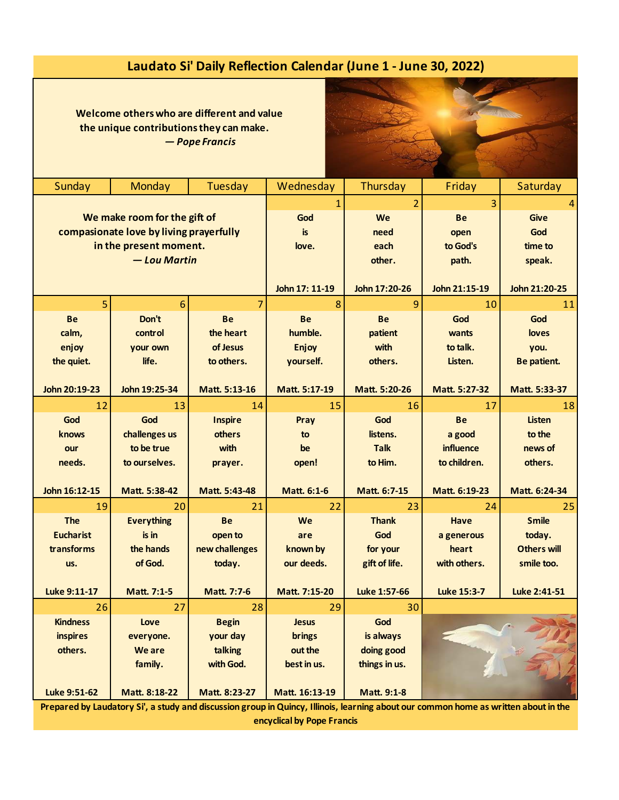## **Laudato Si' Daily Reflection Calendar (June 1 - June 30, 2022)**

 **Welcome others who are different and value the unique contributions they can make.**

*— Pope Francis*



| Sunday                                  | Monday            | Tuesday            | Wednesday      | Thursday       | Friday             | Saturday           |
|-----------------------------------------|-------------------|--------------------|----------------|----------------|--------------------|--------------------|
|                                         |                   |                    | 1              | $\overline{2}$ | 3                  | 4                  |
| We make room for the gift of            |                   |                    | God            | <b>We</b>      | <b>Be</b>          | <b>Give</b>        |
| compasionate love by living prayerfully |                   |                    | is             | need           | open               | God                |
| in the present moment.                  |                   |                    | love.          | each           | to God's           | time to            |
| - Lou Martin                            |                   |                    |                | other.         | path.              | speak.             |
|                                         |                   |                    |                |                |                    |                    |
|                                         |                   |                    | John 17: 11-19 | John 17:20-26  | John 21:15-19      | John 21:20-25      |
| 5                                       | 6                 | 7                  | 8              | 9              | 10                 | 11                 |
| <b>Be</b>                               | Don't             | <b>Be</b>          | <b>Be</b>      | <b>Be</b>      | God                | God                |
| calm,                                   | control           | the heart          | humble.        | patient        | wants              | loves              |
| enjoy                                   | your own          | of Jesus           | Enjoy          | with           | to talk.           | you.               |
| the quiet.                              | life.             | to others.         | yourself.      | others.        | Listen.            | Be patient.        |
|                                         |                   |                    |                |                |                    |                    |
| John 20:19-23                           | John 19:25-34     | Matt. 5:13-16      | Matt. 5:17-19  | Matt. 5:20-26  | Matt. 5:27-32      | Matt. 5:33-37      |
| 12                                      | 13                | 14                 | 15             | 16             | 17                 | 18                 |
| God                                     | God               | <b>Inspire</b>     | Pray           | God            | <b>Be</b>          | <b>Listen</b>      |
| knows                                   | challenges us     | others             | to             | listens.       | a good             | to the             |
| our                                     | to be true        | with               | be             | <b>Talk</b>    | influence          | news of            |
| needs.                                  | to ourselves.     | prayer.            | open!          | to Him.        | to children.       | others.            |
|                                         |                   |                    |                |                |                    |                    |
| John 16:12-15                           | Matt. 5:38-42     | Matt. 5:43-48      | Matt. 6:1-6    | Matt. 6:7-15   | Matt. 6:19-23      | Matt. 6:24-34      |
| 19                                      | 20                | 21                 | 22             | 23             | 24                 | 25                 |
| <b>The</b>                              | <b>Everything</b> | <b>Be</b>          | We             | <b>Thank</b>   | Have               | <b>Smile</b>       |
| <b>Eucharist</b>                        | is in             | open to            | are            | God            | a generous         | today.             |
| transforms                              | the hands         | new challenges     | known by       | for your       | heart              | <b>Others will</b> |
| us.                                     | of God.           | today.             | our deeds.     | gift of life.  | with others.       | smile too.         |
|                                         |                   |                    |                |                |                    |                    |
| <b>Luke 9:11-17</b>                     | Matt. 7:1-5       | <b>Matt. 7:7-6</b> | Matt. 7:15-20  | Luke 1:57-66   | <b>Luke 15:3-7</b> | Luke 2:41-51       |
| 26                                      | 27                | 28                 | 29             | 30             |                    |                    |
| <b>Kindness</b>                         | Love              | <b>Begin</b>       | <b>Jesus</b>   | God            |                    |                    |
| <b>inspires</b>                         | everyone.         | your day           | <b>brings</b>  | is always      |                    |                    |
| others.                                 | We are            | talking            | out the        | doing good     |                    |                    |
|                                         | family.           | with God.          | best in us.    | things in us.  |                    |                    |
|                                         |                   |                    |                |                |                    |                    |
| Luke 9:51-62                            | Matt. 8:18-22     | Matt. 8:23-27      | Matt. 16:13-19 | Matt. 9:1-8    |                    |                    |

**Prepared by Laudatory Si', a study and discussion group in Quincy, Illinois, learning about our common home as written about in the encyclical by Pope Francis**